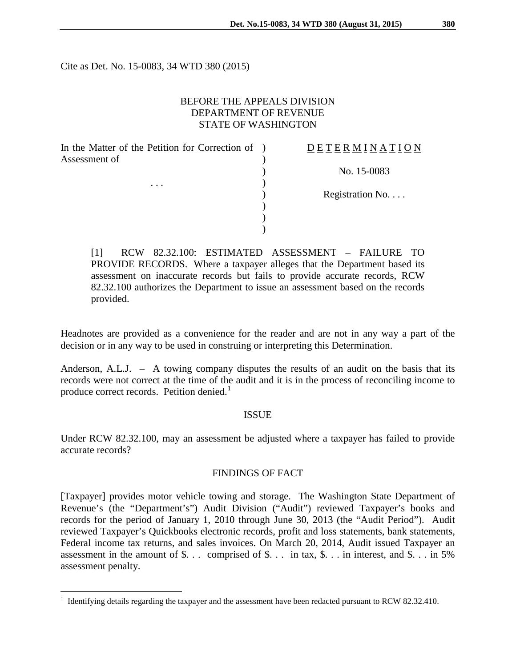Cite as Det. No. 15-0083, 34 WTD 380 (2015)

## BEFORE THE APPEALS DIVISION DEPARTMENT OF REVENUE STATE OF WASHINGTON

| In the Matter of the Petition for Correction of ) |  |
|---------------------------------------------------|--|
| Assessment of                                     |  |
|                                                   |  |
|                                                   |  |
|                                                   |  |
|                                                   |  |
|                                                   |  |
|                                                   |  |

# D E T E R M I N A T I O N

) No. 15-0083

Registration No. . . .

[1] RCW 82.32.100: ESTIMATED ASSESSMENT – FAILURE TO PROVIDE RECORDS. Where a taxpayer alleges that the Department based its assessment on inaccurate records but fails to provide accurate records, RCW 82.32.100 authorizes the Department to issue an assessment based on the records provided.

Headnotes are provided as a convenience for the reader and are not in any way a part of the decision or in any way to be used in construing or interpreting this Determination.

Anderson, A.L.J. – A towing company disputes the results of an audit on the basis that its records were not correct at the time of the audit and it is in the process of reconciling income to produce correct records. Petition denied.<sup>[1](#page-0-0)</sup>

#### ISSUE

Under RCW 82.32.100, may an assessment be adjusted where a taxpayer has failed to provide accurate records?

## FINDINGS OF FACT

[Taxpayer] provides motor vehicle towing and storage. The Washington State Department of Revenue's (the "Department's") Audit Division ("Audit") reviewed Taxpayer's books and records for the period of January 1, 2010 through June 30, 2013 (the "Audit Period"). Audit reviewed Taxpayer's Quickbooks electronic records, profit and loss statements, bank statements, Federal income tax returns, and sales invoices. On March 20, 2014, Audit issued Taxpayer an assessment in the amount of  $\$ ... comprised of  $\$ ... in tax,  $\)$ ... in interest, and  $\)$ ... in 5% assessment penalty.

<span id="page-0-0"></span><sup>&</sup>lt;sup>1</sup> Identifying details regarding the taxpayer and the assessment have been redacted pursuant to RCW 82.32.410.